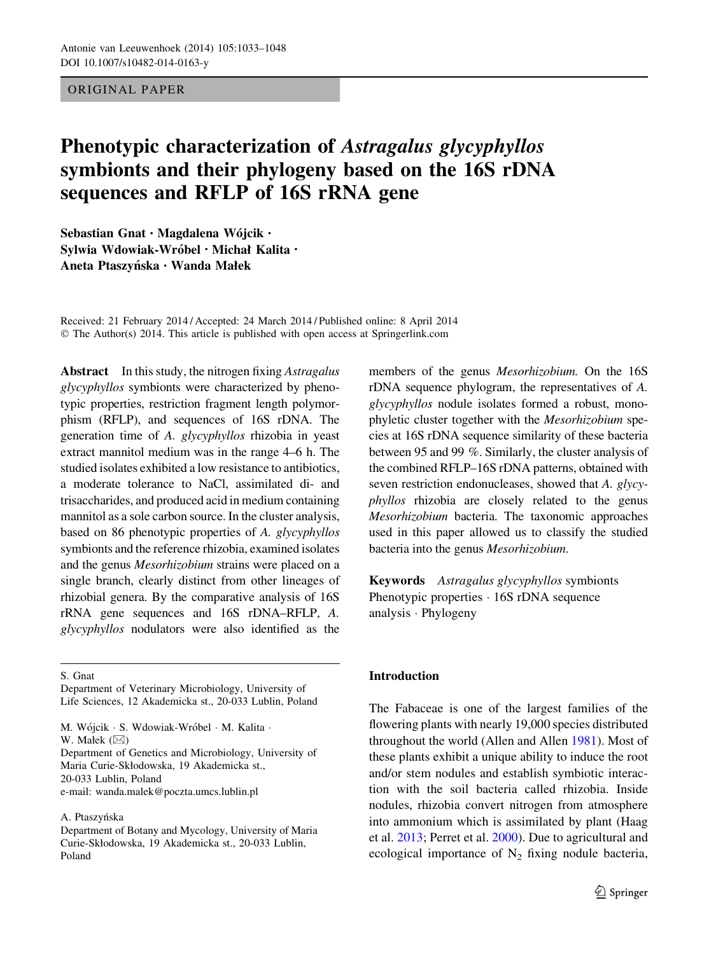## ORIGINAL PAPER

# Phenotypic characterization of Astragalus glycyphyllos symbionts and their phylogeny based on the 16S rDNA sequences and RFLP of 16S rRNA gene

Sebastian Gnat · Magdalena Wójcik · Sylwia Wdowiak-Wróbel · Michał Kalita · Aneta Ptaszyńska · Wanda Małek

Received: 21 February 2014 / Accepted: 24 March 2014 / Published online: 8 April 2014 © The Author(s) 2014. This article is published with open access at Springerlink.com

Abstract In this study, the nitrogen fixing Astragalus glycyphyllos symbionts were characterized by phenotypic properties, restriction fragment length polymorphism (RFLP), and sequences of 16S rDNA. The generation time of A. glycyphyllos rhizobia in yeast extract mannitol medium was in the range 4–6 h. The studied isolates exhibited a low resistance to antibiotics, a moderate tolerance to NaCl, assimilated di- and trisaccharides, and produced acid in medium containing mannitol as a sole carbon source. In the cluster analysis, based on 86 phenotypic properties of A. glycyphyllos symbionts and the reference rhizobia, examined isolates and the genus Mesorhizobium strains were placed on a single branch, clearly distinct from other lineages of rhizobial genera. By the comparative analysis of 16S rRNA gene sequences and 16S rDNA–RFLP, A. glycyphyllos nodulators were also identified as the

S. Gnat

M. Wójcik · S. Wdowiak-Wróbel · M. Kalita · W. Małek  $(\boxtimes)$ 

Department of Genetics and Microbiology, University of Maria Curie-Skłodowska, 19 Akademicka st., 20-033 Lublin, Poland e-mail: wanda.malek@poczta.umcs.lublin.pl

#### A. Ptaszyńska

members of the genus Mesorhizobium. On the 16S rDNA sequence phylogram, the representatives of A. glycyphyllos nodule isolates formed a robust, monophyletic cluster together with the Mesorhizobium species at 16S rDNA sequence similarity of these bacteria between 95 and 99 %. Similarly, the cluster analysis of the combined RFLP–16S rDNA patterns, obtained with seven restriction endonucleases, showed that A. glycyphyllos rhizobia are closely related to the genus Mesorhizobium bacteria. The taxonomic approaches used in this paper allowed us to classify the studied bacteria into the genus Mesorhizobium.

Keywords Astragalus glycyphyllos symbionts Phenotypic properties  $\cdot$  16S rDNA sequence analysis - Phylogeny

#### Introduction

The Fabaceae is one of the largest families of the flowering plants with nearly 19,000 species distributed throughout the world (Allen and Allen [1981\)](#page-14-0). Most of these plants exhibit a unique ability to induce the root and/or stem nodules and establish symbiotic interaction with the soil bacteria called rhizobia. Inside nodules, rhizobia convert nitrogen from atmosphere into ammonium which is assimilated by plant (Haag et al. [2013;](#page-14-0) Perret et al. [2000\)](#page-15-0). Due to agricultural and ecological importance of  $N_2$  fixing nodule bacteria,

Department of Veterinary Microbiology, University of Life Sciences, 12 Akademicka st., 20-033 Lublin, Poland

Department of Botany and Mycology, University of Maria Curie-Skłodowska, 19 Akademicka st., 20-033 Lublin, Poland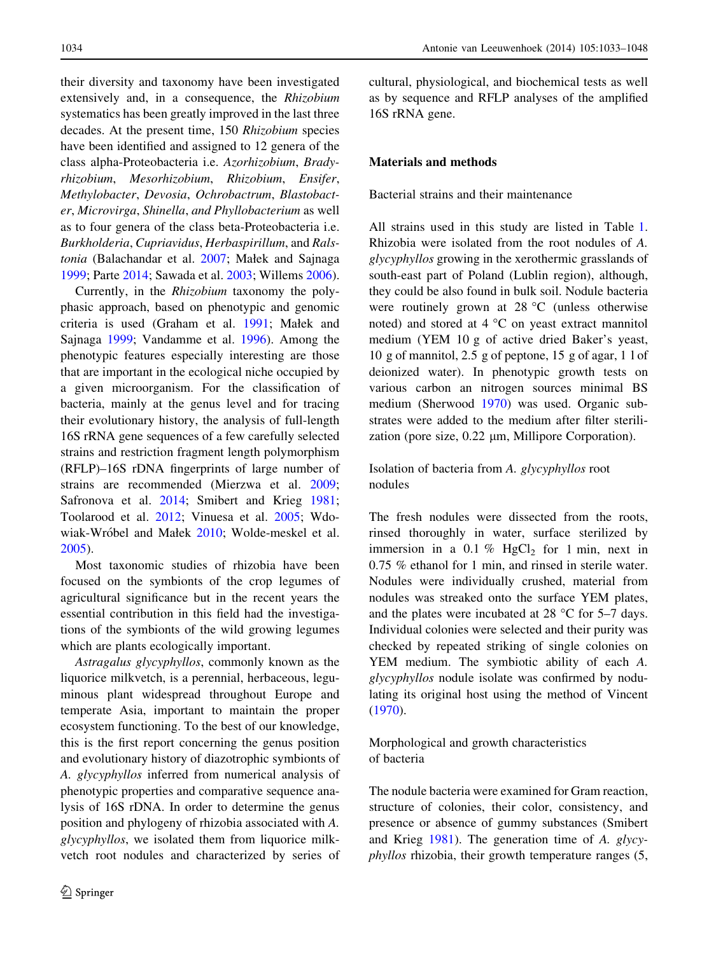their diversity and taxonomy have been investigated extensively and, in a consequence, the Rhizobium systematics has been greatly improved in the last three decades. At the present time, 150 Rhizobium species have been identified and assigned to 12 genera of the class alpha-Proteobacteria i.e. Azorhizobium, Bradyrhizobium, Mesorhizobium, Rhizobium, Ensifer, Methylobacter, Devosia, Ochrobactrum, Blastobacter, Microvirga, Shinella, and Phyllobacterium as well as to four genera of the class beta-Proteobacteria i.e. Burkholderia, Cupriavidus, Herbaspirillum, and Ralstonia (Balachandar et al. [2007;](#page-14-0) Małek and Sajnaga [1999;](#page-15-0) Parte [2014;](#page-15-0) Sawada et al. [2003;](#page-15-0) Willems [2006](#page-15-0)).

Currently, in the Rhizobium taxonomy the polyphasic approach, based on phenotypic and genomic criteria is used (Graham et al. [1991;](#page-14-0) Małek and Sajnaga [1999;](#page-15-0) Vandamme et al. [1996\)](#page-15-0). Among the phenotypic features especially interesting are those that are important in the ecological niche occupied by a given microorganism. For the classification of bacteria, mainly at the genus level and for tracing their evolutionary history, the analysis of full-length 16S rRNA gene sequences of a few carefully selected strains and restriction fragment length polymorphism (RFLP)–16S rDNA fingerprints of large number of strains are recommended (Mierzwa et al. [2009](#page-15-0); Safronova et al. [2014](#page-15-0); Smibert and Krieg [1981](#page-15-0); Toolarood et al. [2012;](#page-15-0) Vinuesa et al. [2005;](#page-15-0) Wdo-wiak-Wróbel and Małek [2010;](#page-15-0) Wolde-meskel et al. [2005\)](#page-15-0).

Most taxonomic studies of rhizobia have been focused on the symbionts of the crop legumes of agricultural significance but in the recent years the essential contribution in this field had the investigations of the symbionts of the wild growing legumes which are plants ecologically important.

Astragalus glycyphyllos, commonly known as the liquorice milkvetch, is a perennial, herbaceous, leguminous plant widespread throughout Europe and temperate Asia, important to maintain the proper ecosystem functioning. To the best of our knowledge, this is the first report concerning the genus position and evolutionary history of diazotrophic symbionts of A. glycyphyllos inferred from numerical analysis of phenotypic properties and comparative sequence analysis of 16S rDNA. In order to determine the genus position and phylogeny of rhizobia associated with A. glycyphyllos, we isolated them from liquorice milkvetch root nodules and characterized by series of

cultural, physiological, and biochemical tests as well as by sequence and RFLP analyses of the amplified 16S rRNA gene.

# Materials and methods

# Bacterial strains and their maintenance

All strains used in this study are listed in Table [1.](#page-2-0) Rhizobia were isolated from the root nodules of A. glycyphyllos growing in the xerothermic grasslands of south-east part of Poland (Lublin region), although, they could be also found in bulk soil. Nodule bacteria were routinely grown at  $28 \degree C$  (unless otherwise noted) and stored at  $4^{\circ}$ C on yeast extract mannitol medium (YEM 10 g of active dried Baker's yeast, 10 g of mannitol, 2.5 g of peptone, 15 g of agar, 1 l of deionized water). In phenotypic growth tests on various carbon an nitrogen sources minimal BS medium (Sherwood [1970](#page-15-0)) was used. Organic substrates were added to the medium after filter sterilization (pore size,  $0.22 \mu m$ , Millipore Corporation).

Isolation of bacteria from A. glycyphyllos root nodules

The fresh nodules were dissected from the roots, rinsed thoroughly in water, surface sterilized by immersion in a 0.1 % HgCl<sub>2</sub> for 1 min, next in 0.75 % ethanol for 1 min, and rinsed in sterile water. Nodules were individually crushed, material from nodules was streaked onto the surface YEM plates, and the plates were incubated at  $28 \degree C$  for 5–7 days. Individual colonies were selected and their purity was checked by repeated striking of single colonies on YEM medium. The symbiotic ability of each A. glycyphyllos nodule isolate was confirmed by nodulating its original host using the method of Vincent [\(1970](#page-15-0)).

Morphological and growth characteristics of bacteria

The nodule bacteria were examined for Gram reaction, structure of colonies, their color, consistency, and presence or absence of gummy substances (Smibert and Krieg [1981\)](#page-15-0). The generation time of A. glycyphyllos rhizobia, their growth temperature ranges (5,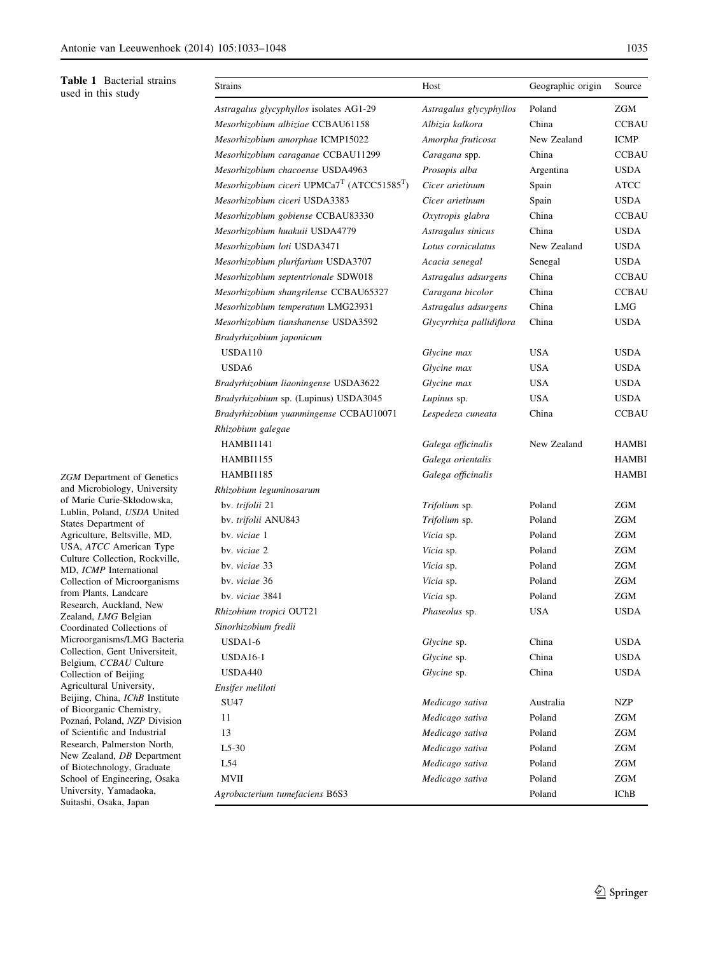<span id="page-2-0"></span>Table 1 Bacterial strains used in this study

ZGM Department of Genetics and Microbiology, University of Marie Curie-Skłodowska, Lublin, Poland, USDA United States Department of Agriculture, Beltsville, MD, USA, ATCC American Type Culture Collection, Rockville, MD, ICMP International Collection of Microorganisms from Plants, Landcare Research, Auckland, New Zealand, LMG Belgian Coordinated Collections of Microorganisms/LMG Bacteria Collection, Gent Universiteit, Belgium, CCBAU Culture Collection of Beijing Agricultural University, Beijing, China, IChB Institute of Bioorganic Chemistry, Poznań, Poland, NZP Division of Scientific and Industrial Research, Palmerston North, New Zealand, DB Department of Biotechnology, Graduate School of Engineering, Osaka University, Yamadaoka, Suitashi, Osaka, Japan

| Strains                                                            | Host                     | Geographic origin | Source       |
|--------------------------------------------------------------------|--------------------------|-------------------|--------------|
| Astragalus glycyphyllos isolates AG1-29                            | Astragalus glycyphyllos  | Poland            | ZGM          |
| Mesorhizobium albiziae CCBAU61158                                  | Albizia kalkora          | China             | CCBAU        |
| Mesorhizobium amorphae ICMP15022                                   | Amorpha fruticosa        | New Zealand       | ICMP         |
| Mesorhizobium caraganae CCBAU11299                                 | Caragana spp.            | China             | <b>CCBAU</b> |
| Mesorhizobium chacoense USDA4963                                   | Prosopis alba            | Argentina         | USDA         |
| Mesorhizobium ciceri UPMCa7 <sup>T</sup> (ATCC51585 <sup>T</sup> ) | Cicer arietinum          | Spain             | ATCC         |
| Mesorhizobium ciceri USDA3383                                      | Cicer arietinum          | Spain             | USDA         |
| Mesorhizobium gobiense CCBAU83330                                  | Oxytropis glabra         | China             | <b>CCBAU</b> |
| Mesorhizobium huakuii USDA4779                                     | Astragalus sinicus       | China             | USDA         |
| Mesorhizobium loti USDA3471                                        | Lotus corniculatus       | New Zealand       | USDA         |
| Mesorhizobium plurifarium USDA3707                                 | Acacia senegal           | Senegal           | <b>USDA</b>  |
| Mesorhizobium septentrionale SDW018                                | Astragalus adsurgens     | China             | <b>CCBAU</b> |
| Mesorhizobium shangrilense CCBAU65327                              | Caragana bicolor         | China             | <b>CCBAU</b> |
| Mesorhizobium temperatum LMG23931                                  | Astragalus adsurgens     | China             | LMG          |
| Mesorhizobium tianshanense USDA3592                                | Glycyrrhiza pallidiflora | China             | USDA         |
| Bradyrhizobium japonicum                                           |                          |                   |              |
| <b>USDA110</b>                                                     | Glycine max              | <b>USA</b>        | <b>USDA</b>  |
| USDA6                                                              | Glycine max              | <b>USA</b>        | <b>USDA</b>  |
| Bradyrhizobium liaoningense USDA3622                               | Glycine max              | USA               | USDA         |
| Bradyrhizobium sp. (Lupinus) USDA3045                              | Lupinus sp.              | USA               | USDA         |
| Bradyrhizobium yuanmingense CCBAU10071                             | Lespedeza cuneata        | China             | <b>CCBAU</b> |
| Rhizobium galegae                                                  |                          |                   |              |
| HAMBI1141                                                          | Galega officinalis       | New Zealand       | HAMBI        |
| <b>HAMBI1155</b>                                                   | Galega orientalis        |                   | HAMBI        |
| <b>HAMBI1185</b>                                                   | Galega officinalis       |                   | HAMBI        |
| Rhizobium leguminosarum                                            |                          |                   |              |
| bv. trifolii 21                                                    | Trifolium sp.            | Poland            | <b>ZGM</b>   |
| bv. trifolii ANU843                                                | Trifolium sp.            | Poland            | ZGM          |
| by. viciae 1                                                       | Vicia sp.                | Poland            | ZGM          |
| by. viciae 2                                                       | Vicia sp.                | Poland            | ZGM          |
| by. viciae 33                                                      | Vicia sp.                | Poland            | ZGM          |
| by. viciae 36                                                      | Vicia sp.                | Poland            | ZGM          |
| by, viciae 3841                                                    | Vicia sp.                | Poland            | ZGM          |
| Rhizobium tropici OUT21                                            | Phaseolus sp.            | <b>USA</b>        | <b>USDA</b>  |
| Sinorhizobium fredii                                               |                          |                   |              |
| USDA1-6                                                            | Glycine sp.              | China             | <b>USDA</b>  |
| <b>USDA16-1</b>                                                    | Glycine sp.              | China             | <b>USDA</b>  |
| <b>USDA440</b>                                                     | Glycine sp.              | China             | <b>USDA</b>  |
| Ensifer meliloti                                                   |                          |                   |              |
| SU47                                                               | Medicago sativa          | Australia         | NZP          |
| 11                                                                 | Medicago sativa          | Poland            | ZGM          |
| 13                                                                 | Medicago sativa          | Poland            | ZGM          |
| $L5-30$                                                            | Medicago sativa          | Poland            | ZGM          |
| L54                                                                | Medicago sativa          | Poland            | ZGM          |
| <b>MVII</b>                                                        | Medicago sativa          | Poland            | ZGM          |
| Agrobacterium tumefaciens B6S3                                     |                          | Poland            | <b>IChB</b>  |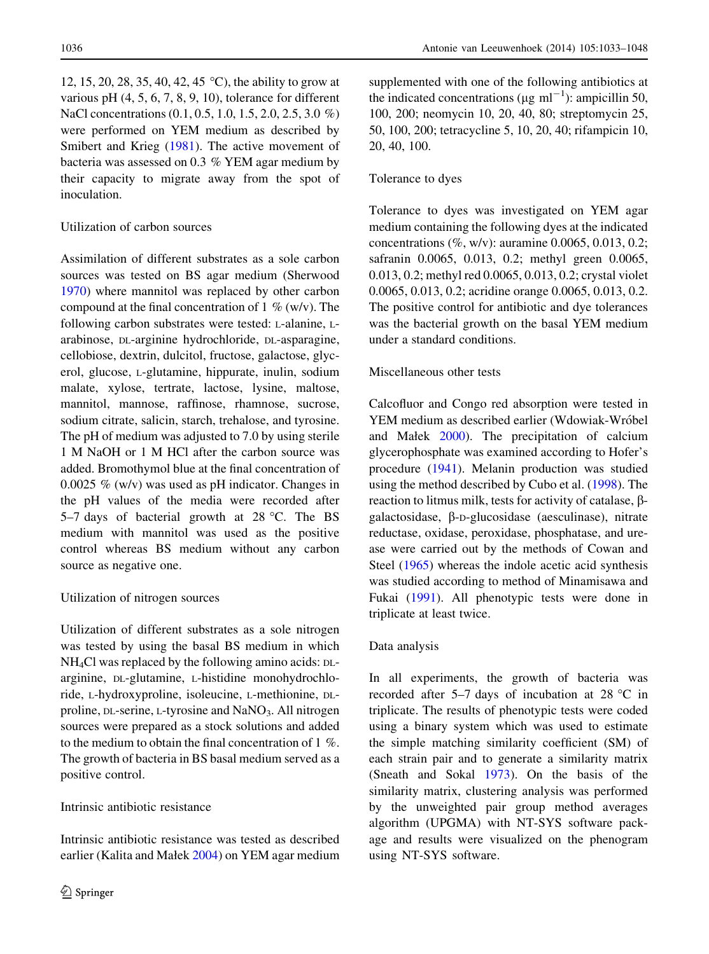12, 15, 20, 28, 35, 40, 42, 45 °C), the ability to grow at various pH (4, 5, 6, 7, 8, 9, 10), tolerance for different NaCl concentrations (0.1, 0.5, 1.0, 1.5, 2.0, 2.5, 3.0 %) were performed on YEM medium as described by Smibert and Krieg ([1981\)](#page-15-0). The active movement of bacteria was assessed on 0.3 % YEM agar medium by their capacity to migrate away from the spot of inoculation.

# Utilization of carbon sources

Assimilation of different substrates as a sole carbon sources was tested on BS agar medium (Sherwood [1970\)](#page-15-0) where mannitol was replaced by other carbon compound at the final concentration of 1  $%$  (w/v). The following carbon substrates were tested: L-alanine, Larabinose, DL-arginine hydrochloride, DL-asparagine, cellobiose, dextrin, dulcitol, fructose, galactose, glycerol, glucose, L-glutamine, hippurate, inulin, sodium malate, xylose, tertrate, lactose, lysine, maltose, mannitol, mannose, raffinose, rhamnose, sucrose, sodium citrate, salicin, starch, trehalose, and tyrosine. The pH of medium was adjusted to 7.0 by using sterile 1 M NaOH or 1 M HCl after the carbon source was added. Bromothymol blue at the final concentration of 0.0025 % (w/v) was used as pH indicator. Changes in the pH values of the media were recorded after 5–7 days of bacterial growth at 28 °C. The BS medium with mannitol was used as the positive control whereas BS medium without any carbon source as negative one.

### Utilization of nitrogen sources

Utilization of different substrates as a sole nitrogen was tested by using the basal BS medium in which NH4Cl was replaced by the following amino acids: DLarginine, DL-glutamine, L-histidine monohydrochloride, L-hydroxyproline, isoleucine, L-methionine, DLproline, DL-serine, L-tyrosine and NaNO<sub>3</sub>. All nitrogen sources were prepared as a stock solutions and added to the medium to obtain the final concentration of 1 %. The growth of bacteria in BS basal medium served as a positive control.

# Intrinsic antibiotic resistance

Intrinsic antibiotic resistance was tested as described earlier (Kalita and Małek [2004](#page-14-0)) on YEM agar medium supplemented with one of the following antibiotics at the indicated concentrations ( $\mu$ g ml<sup>-1</sup>): ampicillin 50, 100, 200; neomycin 10, 20, 40, 80; streptomycin 25, 50, 100, 200; tetracycline 5, 10, 20, 40; rifampicin 10, 20, 40, 100.

# Tolerance to dyes

Tolerance to dyes was investigated on YEM agar medium containing the following dyes at the indicated concentrations (%, w/v): auramine 0.0065, 0.013, 0.2; safranin 0.0065, 0.013, 0.2; methyl green 0.0065, 0.013, 0.2; methyl red 0.0065, 0.013, 0.2; crystal violet 0.0065, 0.013, 0.2; acridine orange 0.0065, 0.013, 0.2. The positive control for antibiotic and dye tolerances was the bacterial growth on the basal YEM medium under a standard conditions.

# Miscellaneous other tests

Calcofluor and Congo red absorption were tested in YEM medium as described earlier (Wdowiak-Wróbel and Małek [2000](#page-15-0)). The precipitation of calcium glycerophosphate was examined according to Hofer's procedure [\(1941](#page-14-0)). Melanin production was studied using the method described by Cubo et al. ([1998\)](#page-14-0). The reaction to litmus milk, tests for activity of catalase, bgalactosidase, b-D-glucosidase (aesculinase), nitrate reductase, oxidase, peroxidase, phosphatase, and urease were carried out by the methods of Cowan and Steel [\(1965](#page-14-0)) whereas the indole acetic acid synthesis was studied according to method of Minamisawa and Fukai ([1991\)](#page-15-0). All phenotypic tests were done in triplicate at least twice.

# Data analysis

In all experiments, the growth of bacteria was recorded after 5–7 days of incubation at 28  $^{\circ}$ C in triplicate. The results of phenotypic tests were coded using a binary system which was used to estimate the simple matching similarity coefficient (SM) of each strain pair and to generate a similarity matrix (Sneath and Sokal [1973\)](#page-15-0). On the basis of the similarity matrix, clustering analysis was performed by the unweighted pair group method averages algorithm (UPGMA) with NT-SYS software package and results were visualized on the phenogram using NT-SYS software.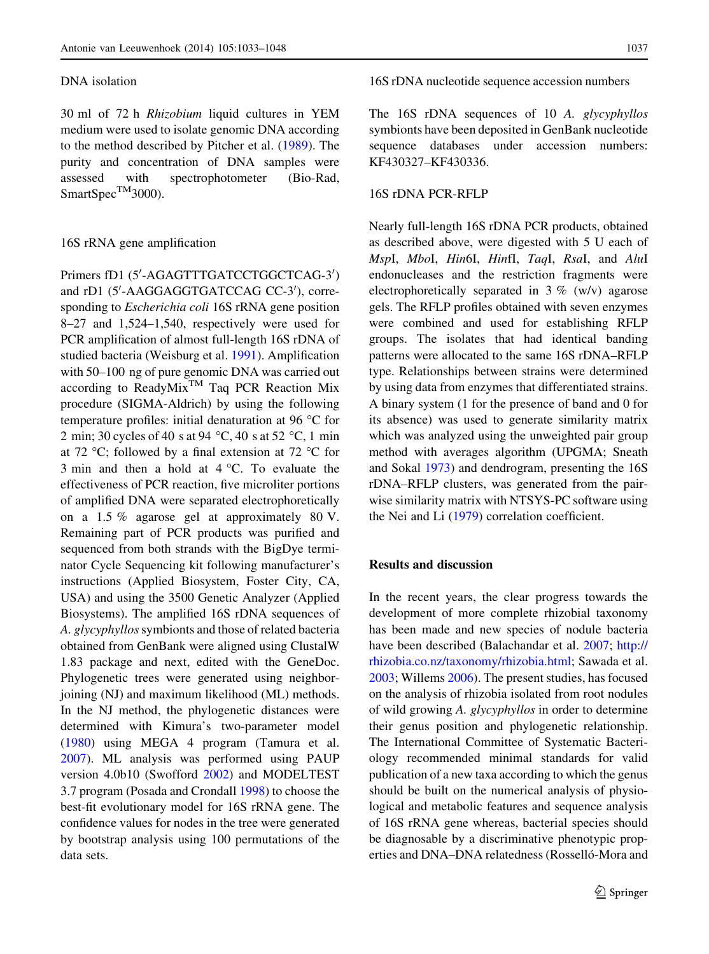#### DNA isolation

30 ml of 72 h Rhizobium liquid cultures in YEM medium were used to isolate genomic DNA according to the method described by Pitcher et al. ([1989\)](#page-15-0). The purity and concentration of DNA samples were assessed with spectrophotometer (Bio-Rad, SmartSpec<sup>TM</sup>3000).

#### 16S rRNA gene amplification

Primers fD1 (5'-AGAGTTTGATCCTGGCTCAG-3') and rD1 (5'-AAGGAGGTGATCCAG CC-3'), corresponding to *Escherichia coli* 16S rRNA gene position 8–27 and 1,524–1,540, respectively were used for PCR amplification of almost full-length 16S rDNA of studied bacteria (Weisburg et al. [1991](#page-15-0)). Amplification with 50–100 ng of pure genomic DNA was carried out according to ReadyMix<sup>TM</sup> Taq PCR Reaction Mix procedure (SIGMA-Aldrich) by using the following temperature profiles: initial denaturation at 96  $\degree$ C for 2 min; 30 cycles of 40 s at 94 °C, 40 s at 52 °C, 1 min at 72 °C; followed by a final extension at 72 °C for 3 min and then a hold at  $4^{\circ}$ C. To evaluate the effectiveness of PCR reaction, five microliter portions of amplified DNA were separated electrophoretically on a 1.5 % agarose gel at approximately 80 V. Remaining part of PCR products was purified and sequenced from both strands with the BigDye terminator Cycle Sequencing kit following manufacturer's instructions (Applied Biosystem, Foster City, CA, USA) and using the 3500 Genetic Analyzer (Applied Biosystems). The amplified 16S rDNA sequences of A. glycyphyllos symbionts and those of related bacteria obtained from GenBank were aligned using ClustalW 1.83 package and next, edited with the GeneDoc. Phylogenetic trees were generated using neighborjoining (NJ) and maximum likelihood (ML) methods. In the NJ method, the phylogenetic distances were determined with Kimura's two-parameter model [\(1980](#page-14-0)) using MEGA 4 program (Tamura et al. [2007\)](#page-15-0). ML analysis was performed using PAUP version 4.0b10 (Swofford [2002\)](#page-15-0) and MODELTEST 3.7 program (Posada and Crondall [1998\)](#page-15-0) to choose the best-fit evolutionary model for 16S rRNA gene. The confidence values for nodes in the tree were generated by bootstrap analysis using 100 permutations of the data sets.

16S rDNA nucleotide sequence accession numbers

The 16S rDNA sequences of 10 A. glycyphyllos symbionts have been deposited in GenBank nucleotide sequence databases under accession numbers: KF430327–KF430336.

### 16S rDNA PCR-RFLP

Nearly full-length 16S rDNA PCR products, obtained as described above, were digested with 5 U each of MspI, MboI, Hin6I, HinfI, TaqI, RsaI, and AluI endonucleases and the restriction fragments were electrophoretically separated in 3 % (w/v) agarose gels. The RFLP profiles obtained with seven enzymes were combined and used for establishing RFLP groups. The isolates that had identical banding patterns were allocated to the same 16S rDNA–RFLP type. Relationships between strains were determined by using data from enzymes that differentiated strains. A binary system (1 for the presence of band and 0 for its absence) was used to generate similarity matrix which was analyzed using the unweighted pair group method with averages algorithm (UPGMA; Sneath and Sokal [1973\)](#page-15-0) and dendrogram, presenting the 16S rDNA–RFLP clusters, was generated from the pairwise similarity matrix with NTSYS-PC software using the Nei and Li ([1979](#page-15-0)) correlation coefficient.

# Results and discussion

In the recent years, the clear progress towards the development of more complete rhizobial taxonomy has been made and new species of nodule bacteria have been described (Balachandar et al. [2007](#page-14-0); [http://](http://rhizobia.co.nz/taxonomy/rhizobia.html) [rhizobia.co.nz/taxonomy/rhizobia.html](http://rhizobia.co.nz/taxonomy/rhizobia.html); Sawada et al. [2003;](#page-15-0) Willems [2006\)](#page-15-0). The present studies, has focused on the analysis of rhizobia isolated from root nodules of wild growing A. glycyphyllos in order to determine their genus position and phylogenetic relationship. The International Committee of Systematic Bacteriology recommended minimal standards for valid publication of a new taxa according to which the genus should be built on the numerical analysis of physiological and metabolic features and sequence analysis of 16S rRNA gene whereas, bacterial species should be diagnosable by a discriminative phenotypic properties and DNA–DNA relatedness (Rosselló-Mora and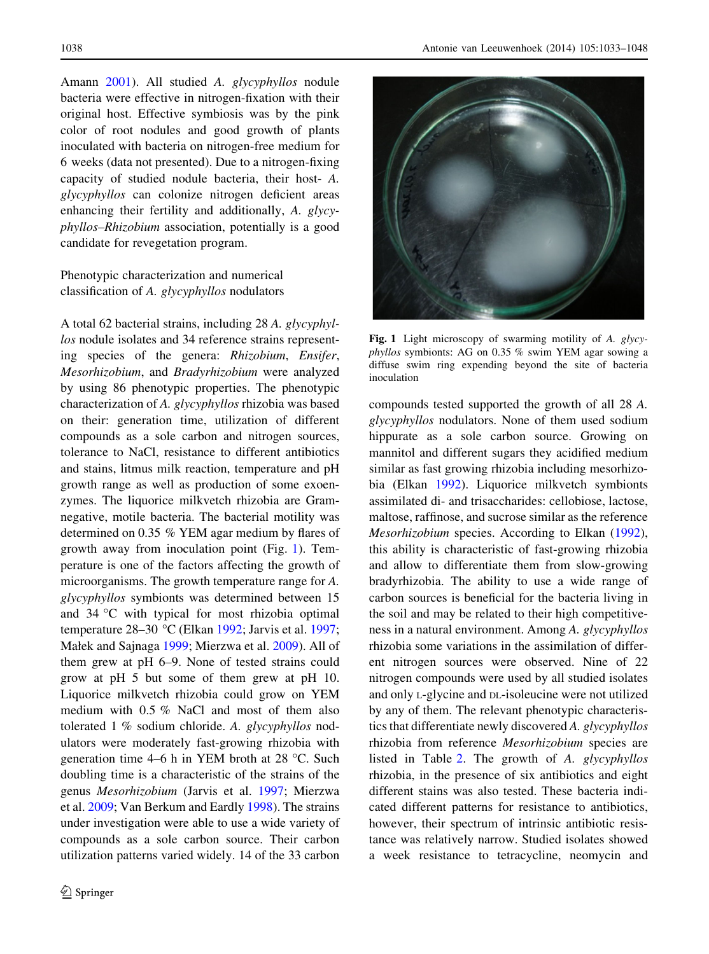Amann [2001\)](#page-15-0). All studied A. glycyphyllos nodule bacteria were effective in nitrogen-fixation with their original host. Effective symbiosis was by the pink color of root nodules and good growth of plants inoculated with bacteria on nitrogen-free medium for 6 weeks (data not presented). Due to a nitrogen-fixing capacity of studied nodule bacteria, their host- A. glycyphyllos can colonize nitrogen deficient areas enhancing their fertility and additionally, A. glycyphyllos–Rhizobium association, potentially is a good candidate for revegetation program.

# Phenotypic characterization and numerical classification of A. glycyphyllos nodulators

A total 62 bacterial strains, including 28 A. glycyphyllos nodule isolates and 34 reference strains representing species of the genera: Rhizobium, Ensifer, Mesorhizobium, and Bradyrhizobium were analyzed by using 86 phenotypic properties. The phenotypic characterization of A. glycyphyllos rhizobia was based on their: generation time, utilization of different compounds as a sole carbon and nitrogen sources, tolerance to NaCl, resistance to different antibiotics and stains, litmus milk reaction, temperature and pH growth range as well as production of some exoenzymes. The liquorice milkvetch rhizobia are Gramnegative, motile bacteria. The bacterial motility was determined on 0.35 % YEM agar medium by flares of growth away from inoculation point (Fig. 1). Temperature is one of the factors affecting the growth of microorganisms. The growth temperature range for A. glycyphyllos symbionts was determined between 15 and  $34 \,^{\circ}\text{C}$  with typical for most rhizobia optimal temperature 28–30 °C (Elkan [1992](#page-14-0); Jarvis et al. [1997](#page-14-0); Małek and Sajnaga [1999;](#page-15-0) Mierzwa et al. [2009\)](#page-15-0). All of them grew at pH 6–9. None of tested strains could grow at pH 5 but some of them grew at pH 10. Liquorice milkvetch rhizobia could grow on YEM medium with 0.5 % NaCl and most of them also tolerated 1 % sodium chloride. A. glycyphyllos nodulators were moderately fast-growing rhizobia with generation time 4–6 h in YEM broth at 28  $^{\circ}$ C. Such doubling time is a characteristic of the strains of the genus Mesorhizobium (Jarvis et al. [1997](#page-14-0); Mierzwa et al. [2009;](#page-15-0) Van Berkum and Eardly [1998\)](#page-15-0). The strains under investigation were able to use a wide variety of compounds as a sole carbon source. Their carbon utilization patterns varied widely. 14 of the 33 carbon



Fig. 1 Light microscopy of swarming motility of A. glycyphyllos symbionts: AG on 0.35 % swim YEM agar sowing a diffuse swim ring expending beyond the site of bacteria inoculation

compounds tested supported the growth of all 28 A. glycyphyllos nodulators. None of them used sodium hippurate as a sole carbon source. Growing on mannitol and different sugars they acidified medium similar as fast growing rhizobia including mesorhizobia (Elkan [1992](#page-14-0)). Liquorice milkvetch symbionts assimilated di- and trisaccharides: cellobiose, lactose, maltose, raffinose, and sucrose similar as the reference Mesorhizobium species. According to Elkan ([1992](#page-14-0)), this ability is characteristic of fast-growing rhizobia and allow to differentiate them from slow-growing bradyrhizobia. The ability to use a wide range of carbon sources is beneficial for the bacteria living in the soil and may be related to their high competitiveness in a natural environment. Among A. glycyphyllos rhizobia some variations in the assimilation of different nitrogen sources were observed. Nine of 22 nitrogen compounds were used by all studied isolates and only L-glycine and DL-isoleucine were not utilized by any of them. The relevant phenotypic characteristics that differentiate newly discovered A. glycyphyllos rhizobia from reference Mesorhizobium species are listed in Table [2](#page-6-0). The growth of A. glycyphyllos rhizobia, in the presence of six antibiotics and eight different stains was also tested. These bacteria indicated different patterns for resistance to antibiotics, however, their spectrum of intrinsic antibiotic resistance was relatively narrow. Studied isolates showed a week resistance to tetracycline, neomycin and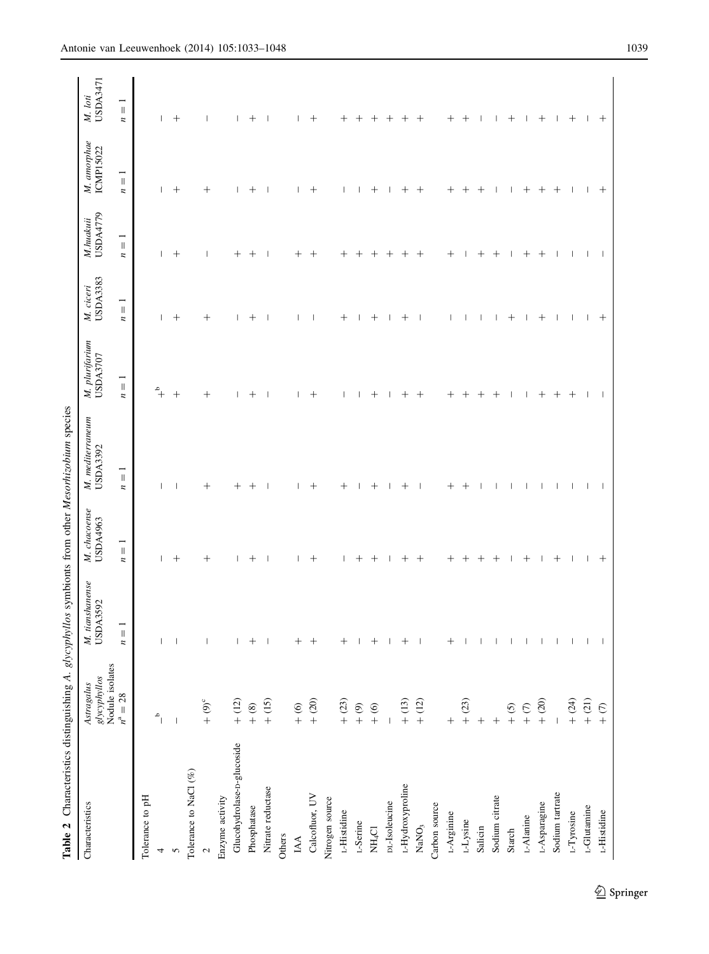<span id="page-6-0"></span>

| Characteristics                | glycyphyllos<br>Nodule isolates<br>$n^a = 28$<br>Astragalus | M. tianshanense<br>USDA3592                         | M. chacoense<br>USDA4963                    | $M.$ mediterraneum<br>USDA3392              | M. plurifarium<br>USDA3707       | <b>USDA3383</b><br>M. ciceri                | M.huakuii<br>USDA4779 | M. amorphae<br>ICMP15022                                    | <b>USDA3471</b><br>M. loti |
|--------------------------------|-------------------------------------------------------------|-----------------------------------------------------|---------------------------------------------|---------------------------------------------|----------------------------------|---------------------------------------------|-----------------------|-------------------------------------------------------------|----------------------------|
|                                |                                                             | $\overline{\mathbb{I}}$<br>$\overline{\phantom{a}}$ | $\overline{\mathbb{I}}$<br>$\boldsymbol{n}$ | $\overline{\mathbb{I}}$<br>$\boldsymbol{n}$ | $n=1$                            | $\frac{1}{\pi}$<br>$\overline{\phantom{a}}$ | $n = 1$               | $\overline{\phantom{0}}$<br>$\parallel$<br>$\boldsymbol{n}$ | $n=1$                      |
| Tolerance to pH                |                                                             |                                                     |                                             |                                             |                                  |                                             |                       |                                                             |                            |
| 4                              | $\mathring{\mathcal{C}}$                                    | I                                                   | I                                           | ı                                           | $\ensuremath{^{\circ}}\xspace_+$ | T                                           | Ш                     | I                                                           | T                          |
| 5                              | $\overline{\phantom{a}}$                                    | $\overline{\phantom{a}}$                            | $^{+}$                                      |                                             | $^{+}$                           | $^{+}$                                      | $^{+}$                | $^{+}$                                                      | $^{+}$                     |
| Tolerance to NaCl $(\% )$      |                                                             |                                                     |                                             |                                             |                                  |                                             |                       |                                                             |                            |
| $\sim$                         | $+$ (9) <sup>c</sup>                                        | $\overline{\phantom{a}}$                            | $^{+}$                                      | $^{+}$                                      | $^{+}$                           | $^{+}$                                      |                       | $^{+}$                                                      |                            |
| Enzyme activity                |                                                             |                                                     |                                             |                                             |                                  |                                             |                       |                                                             |                            |
| Glucohydrolase-p-glucoside     | $+ (12)$                                                    |                                                     |                                             | $^+$                                        | I                                | ı                                           | $^+$                  | Т                                                           | I                          |
| Phosphatase                    | $\frac{1}{2}$                                               | $^+$                                                | $\, +$                                      | $^+$                                        |                                  | $\hspace{0.1mm} +$                          | $^+$                  | $\,{}^{+}\,$                                                | $\hspace{0.1mm} +$         |
| Nitrate reductase              | $+ (15)$                                                    |                                                     |                                             |                                             |                                  |                                             |                       | $\overline{\phantom{a}}$                                    | $\overline{\phantom{a}}$   |
| Others                         |                                                             |                                                     |                                             |                                             |                                  |                                             |                       |                                                             |                            |
| IAA                            | $\frac{6}{6}$                                               | $^+$                                                |                                             |                                             |                                  |                                             | $\hspace{0.1mm} +$    |                                                             |                            |
| Calcofluor, UV                 | $+ (20)$                                                    | $^{+}$                                              | $^{+}$                                      | $^{+}$                                      | $^{+}$                           |                                             | $^{+}$                | $^{+}$                                                      | $^{+}$                     |
| Nitrogen source                |                                                             |                                                     |                                             |                                             |                                  |                                             |                       |                                                             |                            |
| L-Histidine                    | $+ (23)$                                                    | $^+$                                                |                                             | $^+$                                        |                                  | $^+$                                        | $^+$                  | $\overline{\phantom{a}}$                                    | $^+$                       |
| $L$ -Serine                    | $\circledcirc$ +                                            |                                                     | $\hspace{0.1mm} +$                          |                                             |                                  |                                             |                       |                                                             | $^+$                       |
| $\rm NH_4Cl$                   | $\frac{6}{1}$                                               | ┿                                                   |                                             | ┿                                           |                                  | ┿                                           |                       | $\hspace{0.1mm} +$                                          |                            |
| DL-Isoleucine                  |                                                             |                                                     |                                             |                                             |                                  |                                             | $^+$                  |                                                             |                            |
| L-Hydroxyproline               | $+$ (13)                                                    |                                                     |                                             |                                             |                                  |                                             |                       | $^+$                                                        |                            |
| $\ensuremath{\mathsf{NANO_3}}$ | $+$ (12)                                                    |                                                     | $^+$                                        |                                             |                                  |                                             | $^+$                  | $^{+}$                                                      | $^+$                       |
| Carbon source                  |                                                             |                                                     |                                             |                                             |                                  |                                             |                       |                                                             |                            |
| L-Arginine                     | $^{+}$                                                      | ┿                                                   | $\hspace{0.1mm} +$                          | ╄                                           |                                  |                                             | $\, +$                | $\hspace{0.1mm} +$                                          | ┾                          |
| L-Lysine                       | $+ (23)$                                                    |                                                     | $^{+}$                                      | $^{+}$                                      |                                  |                                             |                       | $\hspace{0.1mm} +$                                          | $^{+}$                     |
| Salicin                        | $^{+}$                                                      |                                                     | $^+$                                        |                                             |                                  |                                             |                       | $^+$                                                        |                            |
| Sodium citrate                 | $^{+}$                                                      |                                                     | $\hspace{0.1mm} +$                          |                                             |                                  |                                             | $\hspace{0.1mm} +$    | ı                                                           |                            |
| Starch                         | (5)                                                         |                                                     |                                             |                                             |                                  | $\hspace{0.1mm} +$                          |                       |                                                             | $^+$                       |
| L-Alanine                      | $\frac{1}{2}$                                               |                                                     | $\hspace{0.1mm} +$                          |                                             |                                  |                                             | $^+$                  | $\hspace{0.1mm} +$                                          |                            |
| L-Asparagine                   | $+$ (20)                                                    |                                                     |                                             |                                             | $^+$                             | $^+$                                        | $^+$                  | $^{+}$                                                      | $^+$                       |
| Sodium tartrate                |                                                             |                                                     | $^+$                                        |                                             | $^+$                             |                                             |                       | $^{+}$                                                      |                            |
| L-Tyrosine                     | $+ (24)$                                                    |                                                     |                                             |                                             | $^{+}$                           |                                             |                       | $\overline{\phantom{a}}$                                    | $^+$                       |
| L-Glutamine                    | $+ (21)$                                                    |                                                     |                                             |                                             | ı                                | J                                           |                       | 1                                                           |                            |
| L-Histidine                    | $+$ $(7)$                                                   |                                                     | $^+$                                        |                                             |                                  | $^+$                                        |                       | $^{+}$                                                      | $^+$                       |

 $\underline{\textcircled{\tiny 2}}$  Springer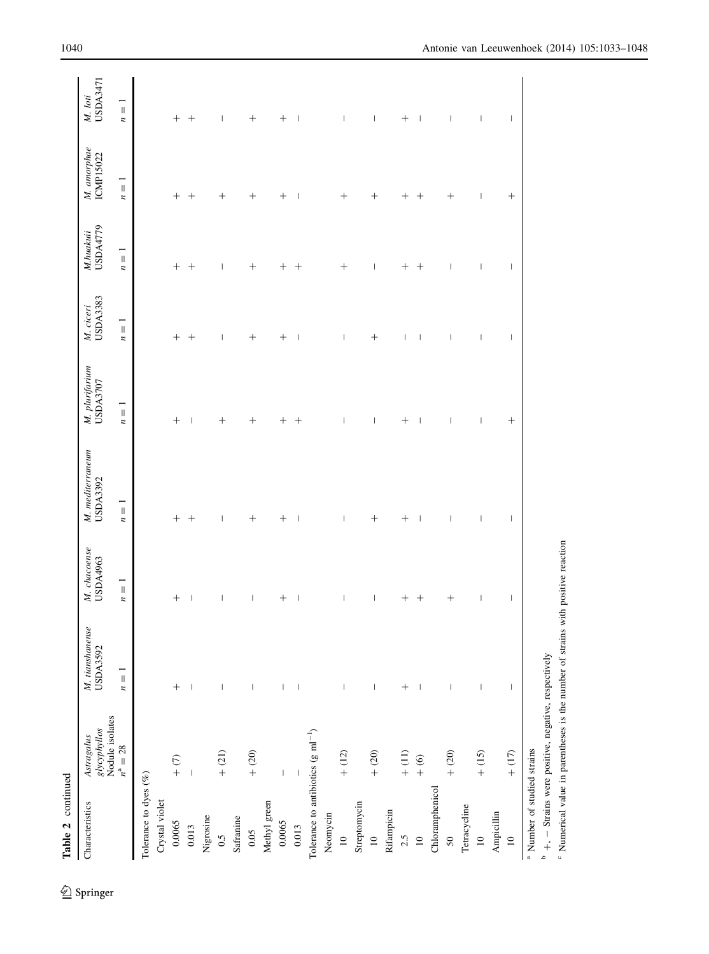| Table 2 continued                              |                                               |                                                                                                                                                                                                                                                                                                                                                                                  |                                    |                                       |                                       |                                                                                                                                                                                                                                                                                                                                                                                  |                                       |                                                     |                                              |
|------------------------------------------------|-----------------------------------------------|----------------------------------------------------------------------------------------------------------------------------------------------------------------------------------------------------------------------------------------------------------------------------------------------------------------------------------------------------------------------------------|------------------------------------|---------------------------------------|---------------------------------------|----------------------------------------------------------------------------------------------------------------------------------------------------------------------------------------------------------------------------------------------------------------------------------------------------------------------------------------------------------------------------------|---------------------------------------|-----------------------------------------------------|----------------------------------------------|
| Characteristics                                | Astragalus<br>glycyphyllos<br>Nodule isolates | M. tianshanense<br>USDA3592                                                                                                                                                                                                                                                                                                                                                      | M. chacoense<br>USDA4963           | M. mediterraneum<br>USDA3392          | M. plurifarium<br>USDA3707            | USDA3383<br>M. ciceri                                                                                                                                                                                                                                                                                                                                                            | USDA4779<br>M.huakui                  | M. amorphae<br>ICMP15022                            | USDA3471<br>M. loti                          |
|                                                | $n^{\rm a} = 28$                              | $\overline{ }$<br>$\, \parallel$<br>$\boldsymbol{n}$                                                                                                                                                                                                                                                                                                                             | $\overline{1}$<br>$\boldsymbol{n}$ | $\overline{1}$<br>$\boldsymbol{n}$    | $n=1$                                 | $\frac{1}{\pi}$<br>$\boldsymbol{n}$                                                                                                                                                                                                                                                                                                                                              | $n=1$                                 | $\overline{\mathbb{I}}$<br>$\overline{\phantom{a}}$ | $\overline{\phantom{a}}$<br>$\boldsymbol{n}$ |
| Tolerance to dyes $(\%)$                       |                                               |                                                                                                                                                                                                                                                                                                                                                                                  |                                    |                                       |                                       |                                                                                                                                                                                                                                                                                                                                                                                  |                                       |                                                     |                                              |
| Crystal violet                                 |                                               |                                                                                                                                                                                                                                                                                                                                                                                  |                                    |                                       |                                       |                                                                                                                                                                                                                                                                                                                                                                                  |                                       |                                                     |                                              |
| 0.0065                                         | $+$ $(7)$                                     | $^{+}$                                                                                                                                                                                                                                                                                                                                                                           | $^{+}$                             | $\! +$                                | $^{+}$                                | $\! +$                                                                                                                                                                                                                                                                                                                                                                           | $\! +$                                | $\! +$                                              | $^{+}$                                       |
| 0.013                                          | $\begin{array}{c} \hline \end{array}$         | $\overline{\phantom{a}}$                                                                                                                                                                                                                                                                                                                                                         | $\mid$                             | $^{+}$                                | $\overline{\phantom{a}}$              | $^{+}$                                                                                                                                                                                                                                                                                                                                                                           | $^{+}$                                | $^{+}$                                              | $^{+}$                                       |
| Nigrosine                                      |                                               |                                                                                                                                                                                                                                                                                                                                                                                  |                                    |                                       |                                       |                                                                                                                                                                                                                                                                                                                                                                                  |                                       |                                                     |                                              |
| 0.5                                            | $+$ (21)                                      | $\begin{array}{c} \rule{0pt}{2.5ex} \rule{0pt}{2.5ex} \rule{0pt}{2.5ex} \rule{0pt}{2.5ex} \rule{0pt}{2.5ex} \rule{0pt}{2.5ex} \rule{0pt}{2.5ex} \rule{0pt}{2.5ex} \rule{0pt}{2.5ex} \rule{0pt}{2.5ex} \rule{0pt}{2.5ex} \rule{0pt}{2.5ex} \rule{0pt}{2.5ex} \rule{0pt}{2.5ex} \rule{0pt}{2.5ex} \rule{0pt}{2.5ex} \rule{0pt}{2.5ex} \rule{0pt}{2.5ex} \rule{0pt}{2.5ex} \rule{0$ | $\overline{\phantom{a}}$           | $\begin{array}{c} \hline \end{array}$ | $^{+}$                                | $\overline{\phantom{a}}$                                                                                                                                                                                                                                                                                                                                                         | $\overline{\phantom{a}}$              | $^{+}$                                              | $\overline{\phantom{a}}$                     |
| Safranine                                      |                                               |                                                                                                                                                                                                                                                                                                                                                                                  |                                    |                                       |                                       |                                                                                                                                                                                                                                                                                                                                                                                  |                                       |                                                     |                                              |
| 0.05                                           | $+$ (20)                                      | $\overline{\phantom{a}}$                                                                                                                                                                                                                                                                                                                                                         | $\begin{array}{c} \end{array}$     | $^{+}$                                | $^{+}$                                | $^{+}$                                                                                                                                                                                                                                                                                                                                                                           | $^{+}$                                | $^{+}$                                              | $^{+}$                                       |
| Methyl green                                   |                                               |                                                                                                                                                                                                                                                                                                                                                                                  |                                    |                                       |                                       |                                                                                                                                                                                                                                                                                                                                                                                  |                                       |                                                     |                                              |
| 0.0065                                         | $\overline{\phantom{a}}$                      | I                                                                                                                                                                                                                                                                                                                                                                                | $^{+}$                             |                                       | $^{+}$                                |                                                                                                                                                                                                                                                                                                                                                                                  |                                       |                                                     | $^{+}$                                       |
| 0.013                                          | $\vert$                                       |                                                                                                                                                                                                                                                                                                                                                                                  | $\overline{\phantom{a}}$           | $\overline{\phantom{a}}$              | $^{+}$                                | $\overline{\phantom{a}}$                                                                                                                                                                                                                                                                                                                                                         | $^{+}$                                | $\overline{\phantom{a}}$                            | $\overline{\phantom{a}}$                     |
| Tolerance to antibiotics (g ml <sup>-1</sup> ) |                                               |                                                                                                                                                                                                                                                                                                                                                                                  |                                    |                                       |                                       |                                                                                                                                                                                                                                                                                                                                                                                  |                                       |                                                     |                                              |
| Neomycin                                       |                                               |                                                                                                                                                                                                                                                                                                                                                                                  |                                    |                                       |                                       |                                                                                                                                                                                                                                                                                                                                                                                  |                                       |                                                     |                                              |
| $\supseteq$                                    | $+$ (12)                                      | $\, \vert \,$                                                                                                                                                                                                                                                                                                                                                                    | I                                  | I                                     | $\overline{\phantom{a}}$              | $\overline{\phantom{a}}$                                                                                                                                                                                                                                                                                                                                                         | $^{+}$                                | $^{+}$                                              | $\overline{\phantom{a}}$                     |
| Streptomycin                                   |                                               |                                                                                                                                                                                                                                                                                                                                                                                  |                                    |                                       |                                       |                                                                                                                                                                                                                                                                                                                                                                                  |                                       |                                                     |                                              |
| $\approx$                                      | $+$ (20)                                      | $\mathord{\text{\rm I}}$                                                                                                                                                                                                                                                                                                                                                         | $\overline{\phantom{a}}$           | $^{+}$                                | I                                     | $^{+}$                                                                                                                                                                                                                                                                                                                                                                           | I                                     | $^{+}$                                              | I                                            |
| Rifampicin                                     |                                               |                                                                                                                                                                                                                                                                                                                                                                                  |                                    |                                       |                                       |                                                                                                                                                                                                                                                                                                                                                                                  |                                       |                                                     |                                              |
| 2.5                                            | $+$ (11)                                      | $^{+}$                                                                                                                                                                                                                                                                                                                                                                           | $^{+}$                             | $^{+}$                                | $^+$                                  | I                                                                                                                                                                                                                                                                                                                                                                                | $^{+}$                                | $^{+}$                                              | $^{+}$                                       |
| $\overline{a}$                                 | $\frac{6}{4}$                                 | I                                                                                                                                                                                                                                                                                                                                                                                | $^{+}$                             | I                                     | I                                     | $\overline{\phantom{a}}$                                                                                                                                                                                                                                                                                                                                                         | $^{+}$                                | $^{+}$                                              | I                                            |
| Chloramphenicol                                |                                               |                                                                                                                                                                                                                                                                                                                                                                                  |                                    |                                       |                                       |                                                                                                                                                                                                                                                                                                                                                                                  |                                       |                                                     |                                              |
| 50                                             | $+$ (20)                                      | $\, \vert \,$                                                                                                                                                                                                                                                                                                                                                                    | $^{+}$                             | $\begin{array}{c} \end{array}$        | I                                     | I                                                                                                                                                                                                                                                                                                                                                                                | I                                     | $^{+}$                                              | $\begin{array}{c} \end{array}$               |
| Tetracycline                                   |                                               |                                                                                                                                                                                                                                                                                                                                                                                  |                                    |                                       |                                       |                                                                                                                                                                                                                                                                                                                                                                                  |                                       |                                                     |                                              |
| $\approx$                                      | $+ (15)$                                      | $\begin{array}{c} \hline \end{array}$                                                                                                                                                                                                                                                                                                                                            | $\begin{array}{c} \end{array}$     | $\mid$                                | $\begin{array}{c} \hline \end{array}$ | $\mid$                                                                                                                                                                                                                                                                                                                                                                           | $\, \vert \,$                         | $\mid$                                              | $\mid$                                       |
| Ampicillin                                     |                                               |                                                                                                                                                                                                                                                                                                                                                                                  |                                    |                                       |                                       |                                                                                                                                                                                                                                                                                                                                                                                  |                                       |                                                     |                                              |
| $\approx$                                      | $+$ (17)                                      | $\mid$                                                                                                                                                                                                                                                                                                                                                                           | $\begin{array}{c} \end{array}$     | $\begin{array}{c} \hline \end{array}$ | $^{+}$                                | $\begin{array}{c} \rule{0pt}{2.5ex} \rule{0pt}{2.5ex} \rule{0pt}{2.5ex} \rule{0pt}{2.5ex} \rule{0pt}{2.5ex} \rule{0pt}{2.5ex} \rule{0pt}{2.5ex} \rule{0pt}{2.5ex} \rule{0pt}{2.5ex} \rule{0pt}{2.5ex} \rule{0pt}{2.5ex} \rule{0pt}{2.5ex} \rule{0pt}{2.5ex} \rule{0pt}{2.5ex} \rule{0pt}{2.5ex} \rule{0pt}{2.5ex} \rule{0pt}{2.5ex} \rule{0pt}{2.5ex} \rule{0pt}{2.5ex} \rule{0$ | $\begin{array}{c} \hline \end{array}$ | $^{+}$                                              | $\begin{array}{c} \hline \end{array}$        |
| <sup>a</sup> Number of studied strains         |                                               |                                                                                                                                                                                                                                                                                                                                                                                  |                                    |                                       |                                       |                                                                                                                                                                                                                                                                                                                                                                                  |                                       |                                                     |                                              |

<sup>b</sup> +, - Strains were positive, negative, respectively  $P^{\text{max}}$  - Strains were positive, negative, respectively

<sup>c</sup> Numerical value in parentheses is the number of strains with positive reaction Numerical value in parentheses is the number of strains with positive reaction

 $\underline{\textcircled{\tiny 2}}$  Springer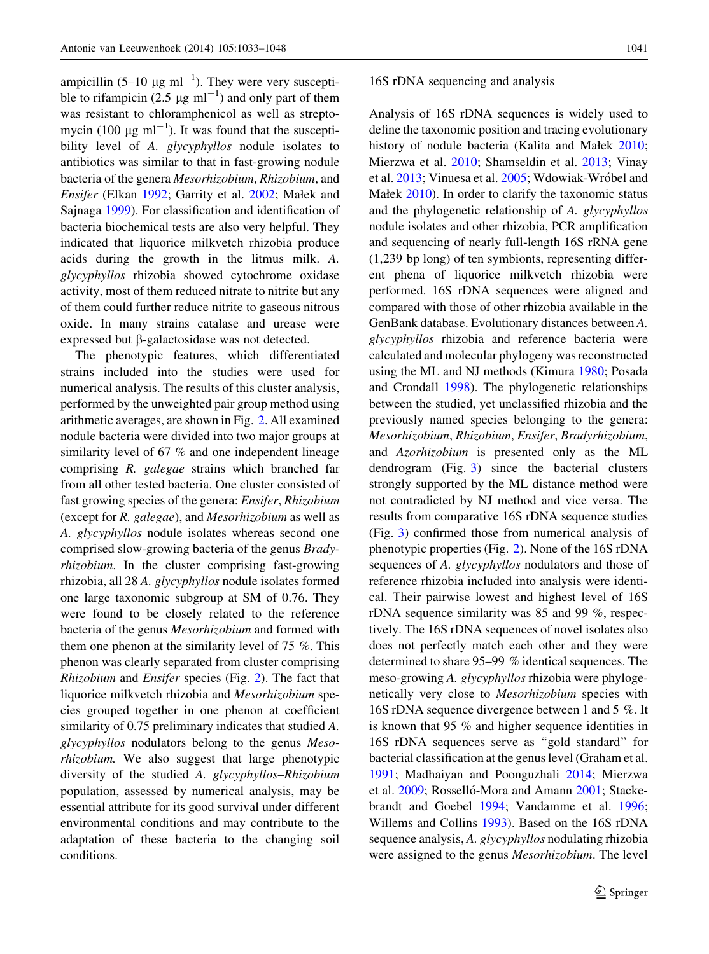ampicillin  $(5-10 \text{ µg ml}^{-1})$ . They were very susceptible to rifampicin (2.5  $\mu$ g ml<sup>-1</sup>) and only part of them was resistant to chloramphenicol as well as streptomycin (100  $\mu$ g ml<sup>-1</sup>). It was found that the susceptibility level of A. glycyphyllos nodule isolates to antibiotics was similar to that in fast-growing nodule bacteria of the genera Mesorhizobium, Rhizobium, and Ensifer (Elkan [1992](#page-14-0); Garrity et al. [2002](#page-14-0); Małek and Sajnaga [1999](#page-15-0)). For classification and identification of bacteria biochemical tests are also very helpful. They indicated that liquorice milkvetch rhizobia produce acids during the growth in the litmus milk. A. glycyphyllos rhizobia showed cytochrome oxidase activity, most of them reduced nitrate to nitrite but any of them could further reduce nitrite to gaseous nitrous oxide. In many strains catalase and urease were expressed but  $\beta$ -galactosidase was not detected.

The phenotypic features, which differentiated strains included into the studies were used for numerical analysis. The results of this cluster analysis, performed by the unweighted pair group method using arithmetic averages, are shown in Fig. [2](#page-9-0). All examined nodule bacteria were divided into two major groups at similarity level of 67 % and one independent lineage comprising R. galegae strains which branched far from all other tested bacteria. One cluster consisted of fast growing species of the genera: Ensifer, Rhizobium (except for R. galegae), and Mesorhizobium as well as A. glycyphyllos nodule isolates whereas second one comprised slow-growing bacteria of the genus Bradyrhizobium. In the cluster comprising fast-growing rhizobia, all 28 A. glycyphyllos nodule isolates formed one large taxonomic subgroup at SM of 0.76. They were found to be closely related to the reference bacteria of the genus Mesorhizobium and formed with them one phenon at the similarity level of 75 %. This phenon was clearly separated from cluster comprising Rhizobium and Ensifer species (Fig. [2](#page-9-0)). The fact that liquorice milkvetch rhizobia and Mesorhizobium species grouped together in one phenon at coefficient similarity of 0.75 preliminary indicates that studied A. glycyphyllos nodulators belong to the genus Mesorhizobium. We also suggest that large phenotypic diversity of the studied A. glycyphyllos–Rhizobium population, assessed by numerical analysis, may be essential attribute for its good survival under different environmental conditions and may contribute to the adaptation of these bacteria to the changing soil conditions.

#### 16S rDNA sequencing and analysis

Analysis of 16S rDNA sequences is widely used to define the taxonomic position and tracing evolutionary history of nodule bacteria (Kalita and Małek [2010](#page-14-0); Mierzwa et al. [2010](#page-15-0); Shamseldin et al. [2013](#page-15-0); Vinay et al. [2013;](#page-15-0) Vinuesa et al. [2005;](#page-15-0) Wdowiak-Wróbel and Małek [2010](#page-15-0)). In order to clarify the taxonomic status and the phylogenetic relationship of A. glycyphyllos nodule isolates and other rhizobia, PCR amplification and sequencing of nearly full-length 16S rRNA gene (1,239 bp long) of ten symbionts, representing different phena of liquorice milkvetch rhizobia were performed. 16S rDNA sequences were aligned and compared with those of other rhizobia available in the GenBank database. Evolutionary distances between A. glycyphyllos rhizobia and reference bacteria were calculated and molecular phylogeny was reconstructed using the ML and NJ methods (Kimura [1980](#page-14-0); Posada and Crondall [1998](#page-15-0)). The phylogenetic relationships between the studied, yet unclassified rhizobia and the previously named species belonging to the genera: Mesorhizobium, Rhizobium, Ensifer, Bradyrhizobium, and Azorhizobium is presented only as the ML dendrogram (Fig. [3](#page-10-0)) since the bacterial clusters strongly supported by the ML distance method were not contradicted by NJ method and vice versa. The results from comparative 16S rDNA sequence studies (Fig. [3](#page-10-0)) confirmed those from numerical analysis of phenotypic properties (Fig. [2](#page-9-0)). None of the 16S rDNA sequences of A. glycyphyllos nodulators and those of reference rhizobia included into analysis were identical. Their pairwise lowest and highest level of 16S rDNA sequence similarity was 85 and 99 %, respectively. The 16S rDNA sequences of novel isolates also does not perfectly match each other and they were determined to share 95–99 % identical sequences. The meso-growing A. glycyphyllos rhizobia were phylogenetically very close to Mesorhizobium species with 16S rDNA sequence divergence between 1 and 5 %. It is known that 95 % and higher sequence identities in 16S rDNA sequences serve as ''gold standard'' for bacterial classification at the genus level (Graham et al. [1991;](#page-14-0) Madhaiyan and Poonguzhali [2014](#page-15-0); Mierzwa et al. [2009](#page-15-0); Rosselló-Mora and Amann [2001;](#page-15-0) Stackebrandt and Goebel [1994;](#page-15-0) Vandamme et al. [1996](#page-15-0); Willems and Collins [1993\)](#page-15-0). Based on the 16S rDNA sequence analysis, A. glycyphyllos nodulating rhizobia were assigned to the genus Mesorhizobium. The level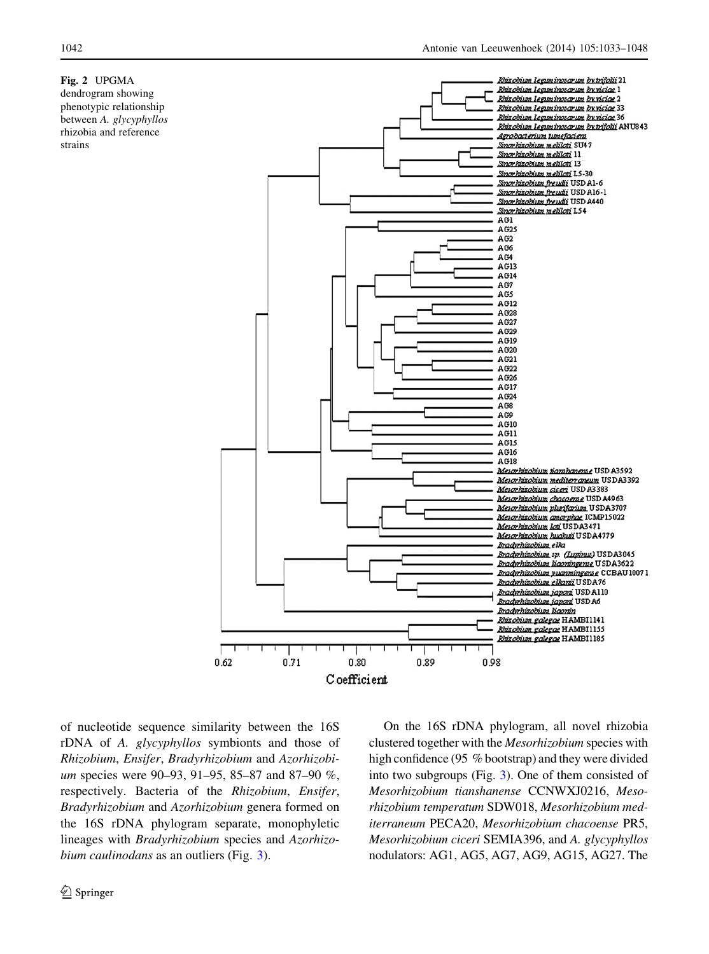# <span id="page-9-0"></span>Fig. 2 UPGMA

dendrogram showing phenotypic relationship between A. glycyphyllos rhizobia and reference strains



of nucleotide sequence similarity between the 16S rDNA of A. glycyphyllos symbionts and those of Rhizobium, Ensifer, Bradyrhizobium and Azorhizobium species were 90–93, 91–95, 85–87 and 87–90 %, respectively. Bacteria of the Rhizobium, Ensifer, Bradyrhizobium and Azorhizobium genera formed on the 16S rDNA phylogram separate, monophyletic lineages with Bradyrhizobium species and Azorhizo-bium caulinodans as an outliers (Fig. [3](#page-10-0)).

On the 16S rDNA phylogram, all novel rhizobia clustered together with the Mesorhizobium species with high confidence (95 % bootstrap) and they were divided into two subgroups (Fig. [3\)](#page-10-0). One of them consisted of Mesorhizobium tianshanense CCNWXJ0216, Mesorhizobium temperatum SDW018, Mesorhizobium mediterraneum PECA20, Mesorhizobium chacoense PR5, Mesorhizobium ciceri SEMIA396, and A. glycyphyllos nodulators: AG1, AG5, AG7, AG9, AG15, AG27. The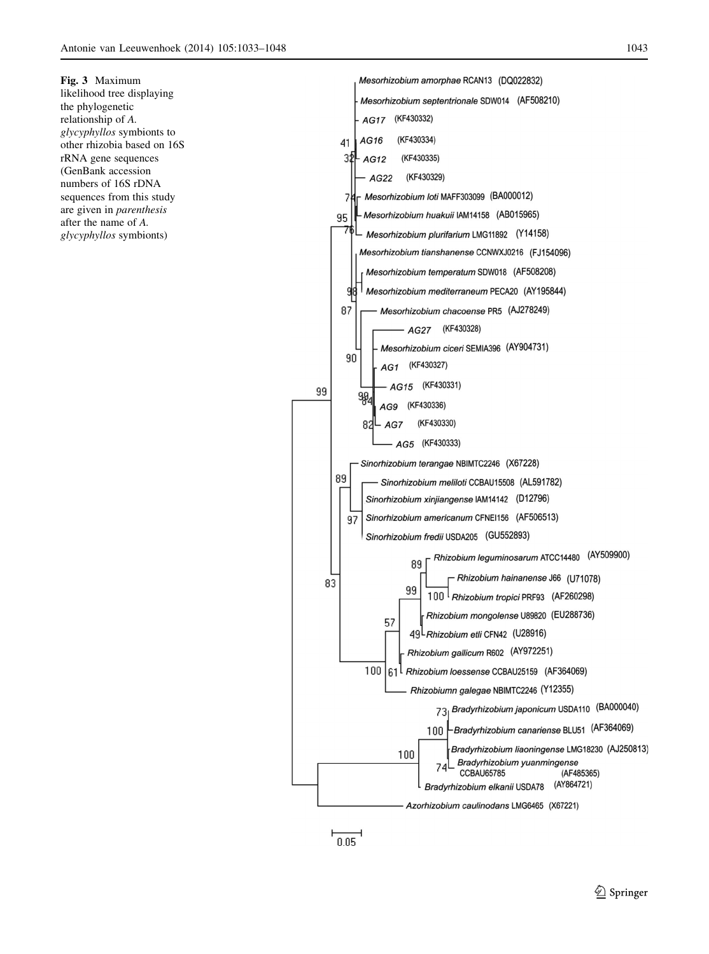<span id="page-10-0"></span>Fig. 3 Maximum likelihood tree displaying the phylogenetic relationship of A. glycyphyllos symbionts to other rhizobia based on 16S rRNA gene sequences (GenBank accession numbers of 16S rDNA sequences from this study are given in parenthesis after the name of A. glycyphyllos symbionts)





 $\overline{0.05}$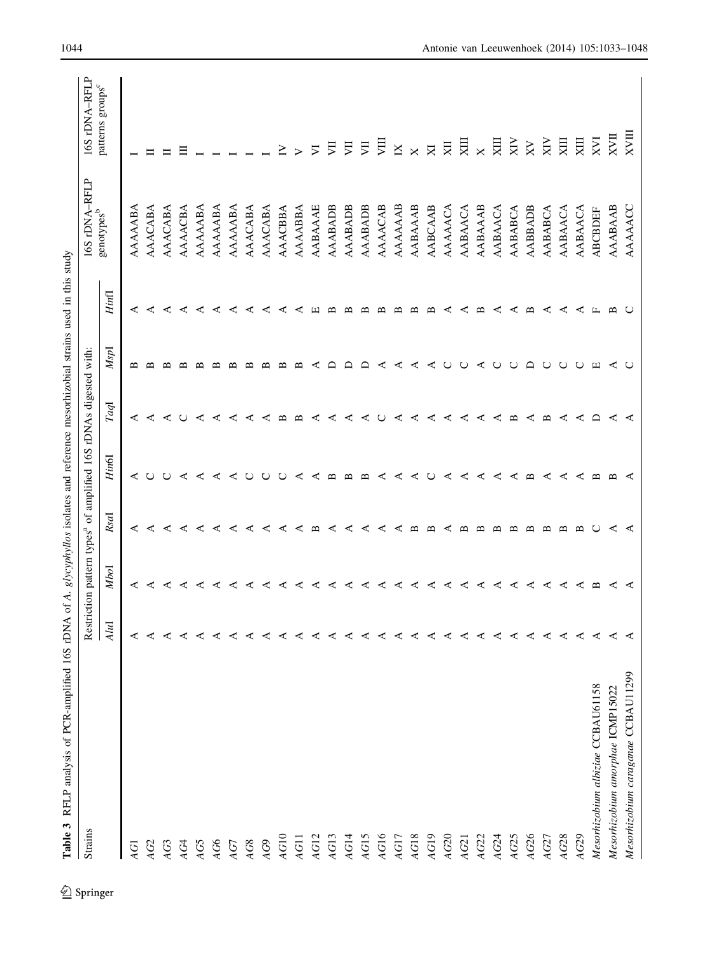<span id="page-11-0"></span>

| Table 3 RFLP analysis of PCR-amplified 16S rDNA of A. glycyphyllos isolates and reference mesorhizobial strains used in this study |      |                   |                   |                                                                              |              |          |       |                   |                                             |
|------------------------------------------------------------------------------------------------------------------------------------|------|-------------------|-------------------|------------------------------------------------------------------------------|--------------|----------|-------|-------------------|---------------------------------------------|
| Strains                                                                                                                            |      |                   |                   | Restriction pattern types <sup>a</sup> of amplified 16S rDNAs digested with: |              |          |       | 16S rDNA-RFLP     | 16S rDNA-RFLP                               |
|                                                                                                                                    | AluI | Mbol              | Rsal              | Hin6I                                                                        | TaqI         | MspI     | Hinfl | $\rm genotypes^b$ | patterns groups <sup>c</sup>                |
| ΑGI                                                                                                                                | ⋖    | ⋖                 | ⋖                 | ≺                                                                            | ⋖            | ≃        | ⋖     | AAAAABA           |                                             |
| AG2                                                                                                                                | ⋖    | ⋖                 | ⋖                 |                                                                              | ⋖            | ≃        | ⋖     | AAACABA           |                                             |
| AG3                                                                                                                                | ⋖    | ⋖                 | ⋖                 |                                                                              | ⋖            | ≃        | ⋖     | AAACABA           |                                             |
| AG4                                                                                                                                | ⋖    | ⋖                 | ⋖                 | ⋖                                                                            | Õ            | ≃        | ⋖     | AAAACBA           |                                             |
| AG5                                                                                                                                | ⋖    | ⋖                 | ⋖                 | ⋖                                                                            | ⋖            | ≃        | ⋖     | AAAAABA           |                                             |
| AG6                                                                                                                                | ⋖    | ⋖                 | ⋖                 | ⋖                                                                            | ⋖            | ≃        | ⋖     | AAAAABA           |                                             |
| AG7                                                                                                                                |      | ⋖                 | ⋖                 | ⋖                                                                            | ⋖            | œ        | ⋖     | AAAAABA           |                                             |
| $\mathcal{A}G8$                                                                                                                    |      | ⋖                 | ⋖                 |                                                                              | C            |          | ⋖     | AAACABA           |                                             |
| AG9                                                                                                                                | ⋖    | C                 | ⋖                 |                                                                              | c            | ≃        | c     | AAACABA           |                                             |
| AG10                                                                                                                               | ⋖    | ⋖                 | ⋖                 |                                                                              | ≃            | ≃        | c     | AAACBBA           | ≧                                           |
| AG11                                                                                                                               | c    | c                 | ⋖                 | c                                                                            | മ            | ≃        |       | AAAABBA           |                                             |
| AG12                                                                                                                               | c    | ⋖                 | ≃                 | ⋖                                                                            | ⋖            |          |       | AABAAAE           | ⋝                                           |
| AG13                                                                                                                               |      | ď                 | ⋖                 | ≃                                                                            | ď            |          |       | AAABADB           | 貝                                           |
| AG14                                                                                                                               |      | ⋖                 |                   | ≃                                                                            | ⋖            |          |       | AAABADB           | 貝                                           |
| AG15                                                                                                                               |      | ⋖                 | c                 | $\infty$                                                                     | ⋖            |          |       | AAABADB           | 貝                                           |
| AG16                                                                                                                               | C    | ď.                | c                 | c                                                                            |              | c        |       | AAAACAB           | 貝                                           |
| AG17                                                                                                                               | ⋖    | ⋖                 | ⋖                 | c                                                                            | ⋖            | ď        |       | AAAAAAB           | $\mathbb{K}$                                |
| AG18                                                                                                                               | ⋖    | ⋖                 | ≃                 | ⋖                                                                            | ⋖            | ⋖        |       | AABAAAB           | $\times$                                    |
| AG19                                                                                                                               | ⋖    | ⋖                 | ≃                 |                                                                              | ⋖            | ⋖        |       | AABCAAB           | $\boxtimes$                                 |
| AG20                                                                                                                               | ⋖    | ⋖                 |                   | ⋖                                                                            | ⋖            |          |       | AAAAACA           | XЦ                                          |
| AG21                                                                                                                               | ⋖    | ⋖                 |                   | ⋖                                                                            | ⋖            |          |       | AABAACA           | $\overline{X}$                              |
| AG22                                                                                                                               | ⋖    | ⋖                 | ≃                 | ⋖                                                                            | ⋖            | ⋖        | ≃     | AABAAAB           | $\times$                                    |
| AG24                                                                                                                               | ⋖    | ⋖                 | ∼                 | ⋖                                                                            | ⋖            |          | c     | AABAACA           | $\overline{\mathbf{X}}$                     |
| AG25                                                                                                                               | ⋖    | ⋖                 | ≃                 | ⋖                                                                            | $\mathbf{u}$ | ◡        | ⋖     | AABABCA           | $\overline{X}$                              |
| AG26                                                                                                                               | ⋖    | ⋖                 | മ                 | $\mathbf{r}$                                                                 | ⋖            | $\Omega$ | ≃     | AABBADB           | XV                                          |
| AG27                                                                                                                               | ⋖    | ⋖                 | ≃                 | ⋖                                                                            | ≃            |          | ⋖     | AABABCA           | $\overline{\text{NN}}$                      |
| AG28                                                                                                                               | ⋖    | ⋖                 | ≃                 | ⋖                                                                            | ⋖            |          | c     | AABAACA           | $\overline{\mathbf{K}}$                     |
| AG29                                                                                                                               | ⋖    | ⋖                 | $\mathbf{\Omega}$ | ⋖                                                                            | ⋖            |          |       | AABAACA           | $\overline{\text{K}}$                       |
| Mesorhizobium albiziae CCBAU61158                                                                                                  | ⋖    | $\mathbf{\Omega}$ |                   | ≃                                                                            | ≏            | ш        |       | <b>ABCBDEF</b>    | $X$ <sub><math>V</math><math>I</math></sub> |
| Mesorhizobium amorphae ICMP15022                                                                                                   | C    | c                 | c                 | ≃                                                                            | c            | ⋖        |       | AAABAAB           | XVII                                        |
| Mesorhizobium caraganae CCBAU11299                                                                                                 |      |                   |                   | ⋖                                                                            |              |          |       | AAAAACC           | XVIII                                       |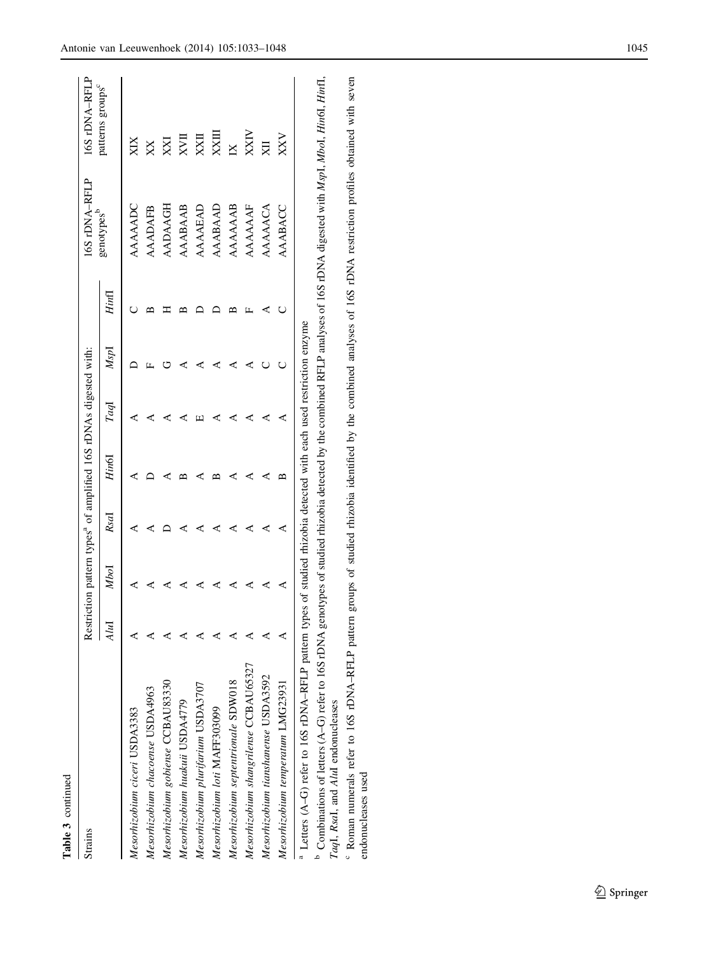| Strains                                                                                                                        |                 |      |      | Restriction pattern types <sup>a</sup> of amplified 16S rDNAs digested with |     |      |       | 16S rDNA-RFLP  | 16S rDNA-RFLI           |
|--------------------------------------------------------------------------------------------------------------------------------|-----------------|------|------|-----------------------------------------------------------------------------|-----|------|-------|----------------|-------------------------|
|                                                                                                                                | $\overline{4}u$ | Mbol | RsaI | Hin6I                                                                       | Гag | MspI | Hinfl | genotypes      | patterns groups         |
| Mesorhizobium ciceri USDA3383                                                                                                  |                 |      |      |                                                                             |     |      |       | AAAAADC        |                         |
| Mesorhizobium chacoense USDA4963                                                                                               |                 |      |      |                                                                             |     |      |       | <b>AAADAFB</b> | XX                      |
| Mesorhizobium gobiense CCBAU83330                                                                                              |                 |      |      |                                                                             |     |      |       | AADAAGH        | XXI                     |
| Mesorhizobium huakuii USDA4779                                                                                                 |                 |      |      |                                                                             |     |      |       | AAABAAB        | XЛ                      |
| Mesorhizobium plurifarium USDA3707                                                                                             |                 |      |      |                                                                             |     |      |       | AAAAEAI        | XXII                    |
| Mesorhizobium loti MAFF303099                                                                                                  |                 |      |      |                                                                             |     |      |       | AAABAAL        | XXII                    |
| Mesorhizobium septentrionale SDW018                                                                                            |                 |      |      |                                                                             |     |      |       | AAAAAAB        | $\overline{\mathbb{X}}$ |
| Mesorhizobium shangrilense CCB AU65327                                                                                         |                 |      |      |                                                                             |     |      |       | AAAAAAF        | XXIV                    |
| Mesorhizobium tianshanense USDA3592                                                                                            |                 |      |      |                                                                             |     |      |       | AAAAACA        |                         |
| Mesorhizobium temperatum LMG23931                                                                                              |                 | ⋖    | ⋖    |                                                                             |     |      |       | AAABACC        | XXV                     |
| <sup>a</sup> Letters (A-G) refer to 16S rDNA-RFLP pattern types of studied rhizobia detected with each used restriction enzyme |                 |      |      |                                                                             |     |      |       |                |                         |

Table 3 continued

Table 3 continued

<sup>b</sup> Combinations of letters (A-G) refer to 16S rDNA genotypes of studied rhizobia detected by the combined RFLP analyses of 16S rDNA digested with MspI, MboI, Hin6I, HinfI, <sup>D</sup> Combinations of letters (A–G) refer to 16S rDNA genotypes of studied rhizobia detected by the combined RFLP analyses of 16S rDNA digested with *MspI*, *MboI, Hin6I, HinfI*, TaqI, RsaI, and AluI endonucleases TaqI, RsaI, and AluI endonucleases

<sup>6</sup> Roman numerals refer to 16S rDNA-RFLP pattern groups of studied rhizobia identified by the combined analyses of 16S rDNA restriction profiles obtained with seven Roman numerals refer to 16S rDNA–RFLP pattern groups of studied rhizobia identified by the combined analyses of 16S rDNA restriction profiles obtained with seven endonucleases used endonucleases used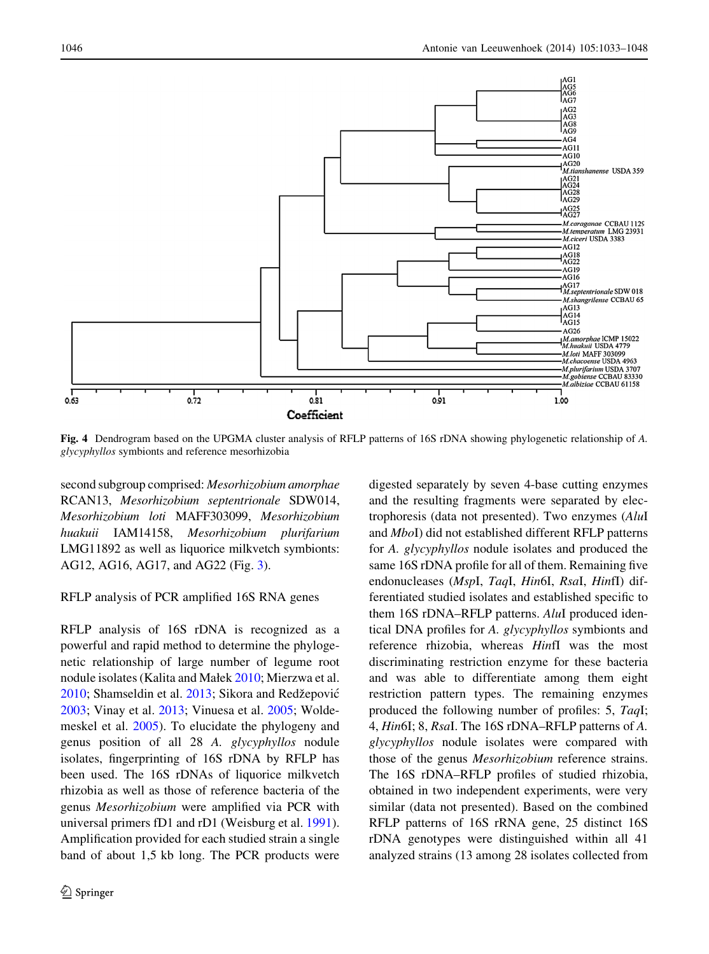<span id="page-13-0"></span>

Fig. 4 Dendrogram based on the UPGMA cluster analysis of RFLP patterns of 16S rDNA showing phylogenetic relationship of A. glycyphyllos symbionts and reference mesorhizobia

second subgroup comprised: Mesorhizobium amorphae RCAN13, Mesorhizobium septentrionale SDW014, Mesorhizobium loti MAFF303099, Mesorhizobium huakuii IAM14158, Mesorhizobium plurifarium LMG11892 as well as liquorice milkvetch symbionts: AG12, AG16, AG17, and AG22 (Fig. [3\)](#page-10-0).

# RFLP analysis of PCR amplified 16S RNA genes

RFLP analysis of 16S rDNA is recognized as a powerful and rapid method to determine the phylogenetic relationship of large number of legume root nodule isolates (Kalita and Małek [2010](#page-14-0); Mierzwa et al. [2010;](#page-15-0) Shamseldin et al. [2013;](#page-15-0) Sikora and Redžepović [2003;](#page-15-0) Vinay et al. [2013](#page-15-0); Vinuesa et al. [2005](#page-15-0); Woldemeskel et al. [2005\)](#page-15-0). To elucidate the phylogeny and genus position of all 28 A. glycyphyllos nodule isolates, fingerprinting of 16S rDNA by RFLP has been used. The 16S rDNAs of liquorice milkvetch rhizobia as well as those of reference bacteria of the genus Mesorhizobium were amplified via PCR with universal primers fD1 and rD1 (Weisburg et al. [1991](#page-15-0)). Amplification provided for each studied strain a single band of about 1,5 kb long. The PCR products were digested separately by seven 4-base cutting enzymes and the resulting fragments were separated by electrophoresis (data not presented). Two enzymes (AluI and MboI) did not established different RFLP patterns for A. glycyphyllos nodule isolates and produced the same 16S rDNA profile for all of them. Remaining five endonucleases (MspI, TaqI, Hin6I, RsaI, HinfI) differentiated studied isolates and established specific to them 16S rDNA–RFLP patterns. AluI produced identical DNA profiles for A. glycyphyllos symbionts and reference rhizobia, whereas HinfI was the most discriminating restriction enzyme for these bacteria and was able to differentiate among them eight restriction pattern types. The remaining enzymes produced the following number of profiles: 5, TaqI; 4, Hin6I; 8, RsaI. The 16S rDNA–RFLP patterns of A. glycyphyllos nodule isolates were compared with those of the genus Mesorhizobium reference strains. The 16S rDNA–RFLP profiles of studied rhizobia, obtained in two independent experiments, were very similar (data not presented). Based on the combined RFLP patterns of 16S rRNA gene, 25 distinct 16S rDNA genotypes were distinguished within all 41 analyzed strains (13 among 28 isolates collected from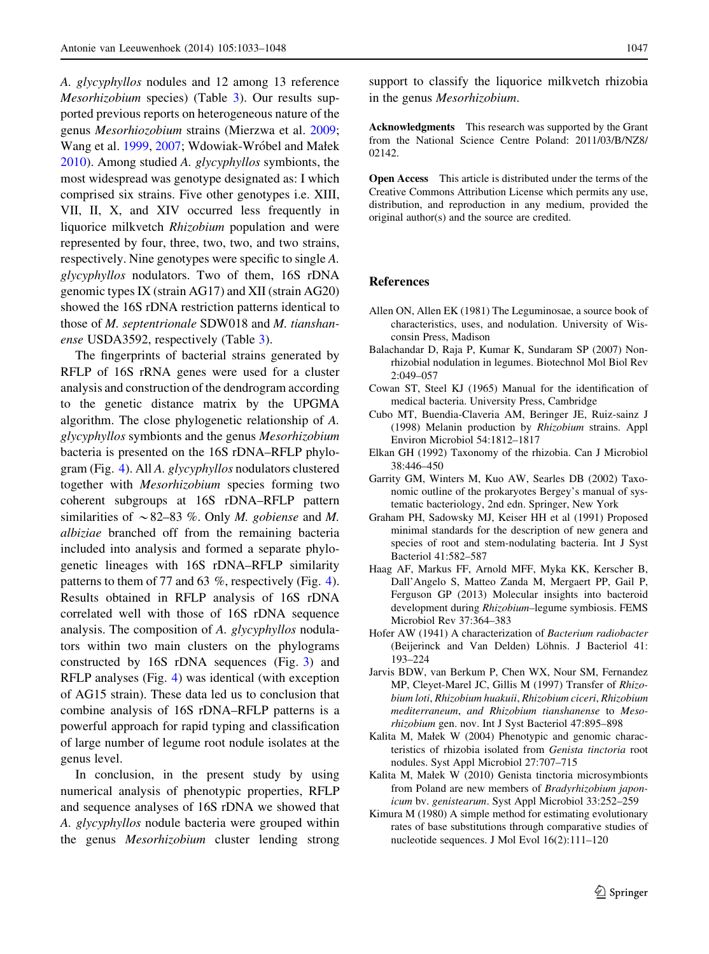<span id="page-14-0"></span>A. glycyphyllos nodules and 12 among 13 reference Mesorhizobium species) (Table [3\)](#page-11-0). Our results supported previous reports on heterogeneous nature of the genus Mesorhiozobium strains (Mierzwa et al. [2009](#page-15-0); Wang et al. [1999,](#page-15-0) [2007;](#page-15-0) Wdowiak-Wróbel and Małek [2010\)](#page-15-0). Among studied A. glycyphyllos symbionts, the most widespread was genotype designated as: I which comprised six strains. Five other genotypes i.e. XIII, VII, II, X, and XIV occurred less frequently in liquorice milkvetch Rhizobium population and were represented by four, three, two, two, and two strains, respectively. Nine genotypes were specific to single A. glycyphyllos nodulators. Two of them, 16S rDNA genomic types IX (strain AG17) and XII (strain AG20) showed the 16S rDNA restriction patterns identical to those of M. septentrionale SDW018 and M. tianshanense USDA3592, respectively (Table [3\)](#page-11-0).

The fingerprints of bacterial strains generated by RFLP of 16S rRNA genes were used for a cluster analysis and construction of the dendrogram according to the genetic distance matrix by the UPGMA algorithm. The close phylogenetic relationship of A. glycyphyllos symbionts and the genus Mesorhizobium bacteria is presented on the 16S rDNA–RFLP phylogram (Fig. [4\)](#page-13-0). All A. glycyphyllos nodulators clustered together with Mesorhizobium species forming two coherent subgroups at 16S rDNA–RFLP pattern similarities of  $\sim$  82–83 %. Only *M. gobiense* and *M.* albiziae branched off from the remaining bacteria included into analysis and formed a separate phylogenetic lineages with 16S rDNA–RFLP similarity patterns to them of 77 and 63 %, respectively (Fig. [4](#page-13-0)). Results obtained in RFLP analysis of 16S rDNA correlated well with those of 16S rDNA sequence analysis. The composition of A. glycyphyllos nodulators within two main clusters on the phylograms constructed by 16S rDNA sequences (Fig. [3\)](#page-10-0) and RFLP analyses (Fig. [4](#page-13-0)) was identical (with exception of AG15 strain). These data led us to conclusion that combine analysis of 16S rDNA–RFLP patterns is a powerful approach for rapid typing and classification of large number of legume root nodule isolates at the genus level.

In conclusion, in the present study by using numerical analysis of phenotypic properties, RFLP and sequence analyses of 16S rDNA we showed that A. glycyphyllos nodule bacteria were grouped within the genus Mesorhizobium cluster lending strong

support to classify the liquorice milkvetch rhizobia in the genus Mesorhizobium.

Acknowledgments This research was supported by the Grant from the National Science Centre Poland: 2011/03/B/NZ8/ 02142.

Open Access This article is distributed under the terms of the Creative Commons Attribution License which permits any use, distribution, and reproduction in any medium, provided the original author(s) and the source are credited.

## References

- Allen ON, Allen EK (1981) The Leguminosae, a source book of characteristics, uses, and nodulation. University of Wisconsin Press, Madison
- Balachandar D, Raja P, Kumar K, Sundaram SP (2007) Nonrhizobial nodulation in legumes. Biotechnol Mol Biol Rev 2:049–057
- Cowan ST, Steel KJ (1965) Manual for the identification of medical bacteria. University Press, Cambridge
- Cubo MT, Buendia-Claveria AM, Beringer JE, Ruiz-sainz J (1998) Melanin production by Rhizobium strains. Appl Environ Microbiol 54:1812–1817
- Elkan GH (1992) Taxonomy of the rhizobia. Can J Microbiol 38:446–450
- Garrity GM, Winters M, Kuo AW, Searles DB (2002) Taxonomic outline of the prokaryotes Bergey's manual of systematic bacteriology, 2nd edn. Springer, New York
- Graham PH, Sadowsky MJ, Keiser HH et al (1991) Proposed minimal standards for the description of new genera and species of root and stem-nodulating bacteria. Int J Syst Bacteriol 41:582–587
- Haag AF, Markus FF, Arnold MFF, Myka KK, Kerscher B, Dall'Angelo S, Matteo Zanda M, Mergaert PP, Gail P, Ferguson GP (2013) Molecular insights into bacteroid development during Rhizobium–legume symbiosis. FEMS Microbiol Rev 37:364–383
- Hofer AW (1941) A characterization of Bacterium radiobacter (Beijerinck and Van Delden) Löhnis. J Bacteriol 41: 193–224
- Jarvis BDW, van Berkum P, Chen WX, Nour SM, Fernandez MP, Cleyet-Marel JC, Gillis M (1997) Transfer of Rhizobium loti, Rhizobium huakuii, Rhizobium ciceri, Rhizobium mediterraneum, and Rhizobium tianshanense to Mesorhizobium gen. nov. Int J Syst Bacteriol 47:895–898
- Kalita M, Małek W (2004) Phenotypic and genomic characteristics of rhizobia isolated from Genista tinctoria root nodules. Syst Appl Microbiol 27:707–715
- Kalita M, Małek W (2010) Genista tinctoria microsymbionts from Poland are new members of Bradyrhizobium japonicum bv. genistearum. Syst Appl Microbiol 33:252–259
- Kimura M (1980) A simple method for estimating evolutionary rates of base substitutions through comparative studies of nucleotide sequences. J Mol Evol 16(2):111–120